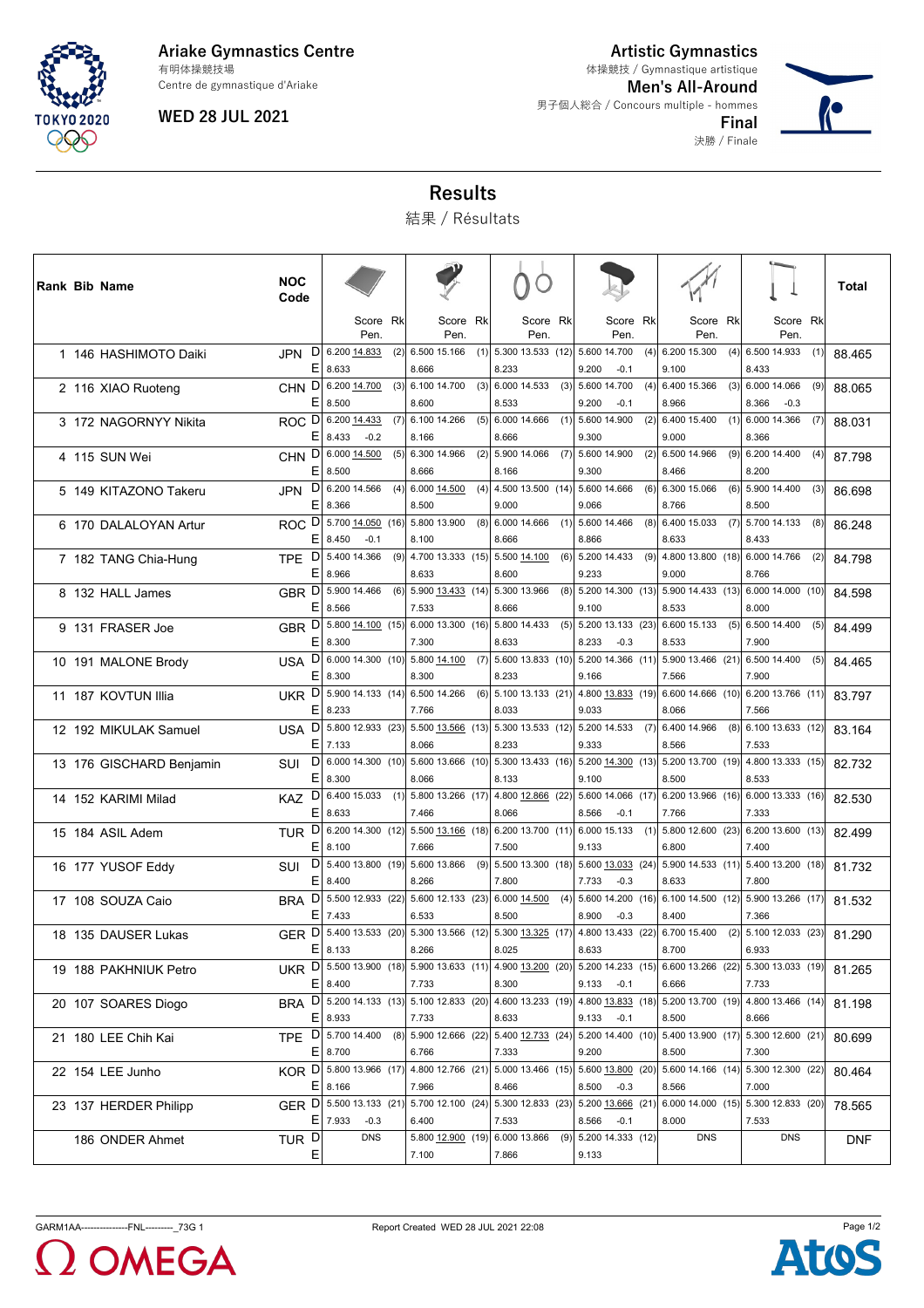

**Ariake Gymnastics Centre** Centre de gymnastique d'Ariake 有明体操競技場

**WED 28 JUL 2021**

**Artistic Gymnastics** 体操競技 / Gymnastique artistique

決勝 / Finale

**Men's All-Around** 男子個人総合 / Concours multiple - hommes **Final**



## **Results**

結果 / Résultats

| Rank Bib Name            | <b>NOC</b><br>Code           |             |                       |     |                                                                                        |     |                              |                  |     |                                                                     |     |                                              |     |                                              |     | Total      |
|--------------------------|------------------------------|-------------|-----------------------|-----|----------------------------------------------------------------------------------------|-----|------------------------------|------------------|-----|---------------------------------------------------------------------|-----|----------------------------------------------|-----|----------------------------------------------|-----|------------|
|                          |                              |             | Score Rk<br>Pen.      |     | Score Rk<br>Pen.                                                                       |     |                              | Score Rk<br>Pen. |     | Score Rk<br>Pen.                                                    |     | Score Rk<br>Pen.                             |     | Score Rk<br>Pen.                             |     |            |
| 1 146 HASHIMOTO Daiki    | D<br><b>JPN</b><br>E.        | 8.633       | 6.200 14.833          | (2) | 6.500 15.166<br>8.666                                                                  | (1) | 5.300 13.533 (12)<br>8.233   |                  |     | 5.600 14.700<br>9.200<br>$-0.1$                                     | (4) | 6.200 15.300<br>9.100                        | (4) | 6.500 14.933<br>8.433                        | (1) | 88.465     |
| 2 116 XIAO Ruoteng       | CHN <sup>D</sup><br>E.       | 8.500       | 6.200 14.700          | (3) | 6.100 14.700<br>8.600                                                                  | (3) | 6.000 14.533<br>8.533        |                  |     | $(3)$ 5.600 14.700<br>9.200<br>$-0.1$                               | (4) | 6.400 15.366<br>8.966                        | (3) | 6.000 14.066<br>8.366<br>$-0.3$              | (9) | 88.065     |
| 3 172 NAGORNYY Nikita    | ROC D 6.200 14.433<br>Е      | 8.433       | $-0.2$                | (7) | 6.100 14.266<br>8.166                                                                  | (5) | 6.000 14.666<br>8.666        |                  |     | $(1)$ 5.600 14.900<br>9.300                                         | (2) | 6.400 15.400<br>9.000                        |     | $(1)$ 6.000 14.366<br>8.366                  | (7) | 88.031     |
| 4 115 SUN Wei            | <b>CHN</b><br>Е              | 8.500       | $D$ 6.000 14.500      | (5) | 6.300 14.966<br>8.666                                                                  | (2) | 5.900 14.066<br>8.166        |                  | (7) | 5.600 14.900<br>9.300                                               | (2) | 6.500 14.966<br>8.466                        | (9) | 6.200 14.400<br>8.200                        | (4) | 87.798     |
| 5 149 KITAZONO Takeru    | <b>JPN</b>                   | $E$ 8.366   | $D$ 6.200 14.566      | (4) | 6.000 14.500<br>8.500                                                                  | (4) | 9.000                        |                  |     | 4.500 13.500 (14) 5.600 14.666<br>9.066                             | (6) | 6.300 15.066<br>8.766                        | (6) | 5.900 14.400<br>8.500                        | (3) | 86.698     |
| 6 170 DALALOYAN Artur    | ROC D 5.700 14.050 (16)<br>Е | 8.450       | $-0.1$                |     | 5.800 13.900<br>8.100                                                                  | (8) | 6.000 14.666<br>8.666        |                  |     | $(1)$ 5.600 14.466<br>8.866                                         | (8) | 6.400 15.033<br>8.633                        |     | $(7)$ 5.700 14.133<br>8.433                  | (8) | 86.248     |
| 7 182 TANG Chia-Hung     | <b>TPE</b><br>Е              | 8.966       | D 5.400 14.366        | (9) | 4.700 13.333 (15)<br>8.633                                                             |     | 5.500 14.100<br>8.600        |                  | (6) | 5.200 14.433<br>9.233                                               | (9) | 4.800 13.800 (18)<br>9.000                   |     | 6.000 14.766<br>8.766                        | (2) | 84.798     |
| 8 132 HALL James         | GBR <sup>D</sup>             | $E$ 8.566   | 5.900 14.466          | (6) | 5.900 13.433 (14)<br>7.533                                                             |     | 5.300 13.966<br>8.666        |                  | (8) | 5.200 14.300 (13)<br>9.100                                          |     | 8.533                                        |     | 5.900 14.433 (13) 6.000 14.000 (10)<br>8.000 |     | 84.598     |
| 9 131 FRASER Joe         | GBR D 5.800 14.100 (15)<br>Е | 8.300       |                       |     | 6.00013.300(16)<br>7.300                                                               |     | 5.800 14.433<br>8.633        |                  |     | $(5)$ 5.200 13.133 (23)<br>$-0.3$<br>8.233                          |     | 6.600 15.133<br>8.533                        |     | $(5)$ 6.500 14.400<br>7.900                  | (5) | 84.499     |
| 10 191 MALONE Brody      | <b>USA</b><br>Е              | 8.300       | $D$ 6.000 14.300 (10) |     | 5.800 14.100<br>8.300                                                                  | (7) | 8.233                        |                  |     | 5.600 13.833 (10) 5.200 14.366 (11)<br>9.166                        |     | 5.90013.466(21)<br>7.566                     |     | 6.500 14.400<br>7.900                        | (5) | 84.465     |
| 11 187 KOVTUN Illia      |                              | $E$   8.233 |                       |     | UKR D 5.900 14.133 (14) 6.500 14.266<br>7.766                                          | (6) | 8.033                        |                  |     | 5.100 13.133 (21) 4.800 13.833 (19)<br>9.033                        |     | 8.066                                        |     | 6.600 14.666 (10) 6.200 13.766 (11)<br>7.566 |     | 83.797     |
| 12 192 MIKULAK Samuel    | E                            | 7.133       |                       |     | USA D 5.800 12.933 (23) 5.500 13.566 (13)<br>8.066                                     |     | 8.233                        |                  |     | 5.300 13.533 (12) 5.200 14.533<br>9.333                             | (7) | 6.400 14.966<br>8.566                        | (8) | 6.100 13.633 (12)<br>7.533                   |     | 83.164     |
| 13 176 GISCHARD Benjamin | DI<br>SUI<br>Е               | 8.300       | 6.000 14.300 (10)     |     | 5.600 13.666 (10)<br>8.066                                                             |     | $5.300$ 13.433 (16)<br>8.133 |                  |     | 5.200 14.300 (13)<br>9.100                                          |     | 5.200 13.700 (19)<br>8.500                   |     | 4.800 13.333 (15)<br>8.533                   |     | 82.732     |
| 14 152 KARIMI Milad      | D<br><b>KAZ</b>              | $E$   8.633 | 6.400 15.033 (1)      |     | 5.800 13.266 (17)<br>7.466                                                             |     | 4.800 12.866 (22)<br>8.066   |                  |     | 5.600 14.066 (17)<br>8.566<br>$-0.1$                                |     | 7.766                                        |     | 6.200 13.966 (16) 6.000 13.333 (16)<br>7.333 |     | 82.530     |
| 15 184 ASIL Adem         | Е                            | 8.100       |                       |     | TUR D 6.200 14.300 (12) 5.500 13.166 (18)<br>7.666                                     |     | 6.200 13.700 $(11)$<br>7.500 |                  |     | 6.000 15.133<br>9.133                                               | (1) | 6.800                                        |     | 5.800 12.600 (23) 6.200 13.600 (13)<br>7.400 |     | 82.499     |
| 16 177 YUSOF Eddy        | SUI<br>Е                     | 8.400       | $D$ 5.400 13.800 (19) |     | 5.600 13.866<br>8.266                                                                  | (9) | $5.500$ 13.300 (18)<br>7.800 |                  |     | 5.600 13.033 (24)<br>7.733<br>$-0.3$                                |     | 8.633                                        |     | 5.900 14.533 (11) 5.400 13.200 (18)<br>7.800 |     | 81.732     |
| 17 108 SOUZA Caio        | BRA D 5.500 12.933 (22)      | E 7.433     |                       |     | 5.600 12.133 (23)<br>6.533                                                             |     | 6.000 14.500<br>8.500        |                  | (4) | 5.600 14.200 (16)<br>8.900<br>$-0.3$                                |     | 8.400                                        |     | 6.100 14.500 (12) 5.900 13.266 (17)<br>7.366 |     | 81.532     |
| 18 135 DAUSER Lukas      |                              | E 8.133     |                       |     | GER D 5.400 13.533 (20) 5.300 13.566 (12)<br>8.266                                     |     | 8.025                        |                  |     | 5.300 13.325 (17) 4.800 13.433 (22)<br>8.633                        |     | 6.700 15.400<br>8.700                        |     | $(2)$ 5.100 12.033 (23)<br>6.933             |     | 81.290     |
| 19 188 PAKHNIUK Petro    |                              | E 8.400     |                       |     | UKR D 5.500 13.900 (18) 5.900 13.633 (11) 4.900 13.200 (20) 5.200 14.233 (15)<br>7.733 |     | 8.300                        |                  |     | 9.133<br>$-0.1$                                                     |     | 6.600 13.266 (22) 5.300 13.033 (19)<br>6.666 |     | 7.733                                        |     | 81.265     |
| 20 107 SOARES Diogo      |                              | E 8.933     |                       |     | BRA D 5.200 14.133 (13) 5.100 12.833 (20)<br>7.733                                     |     | 8.633                        |                  |     | 4.600 13.233 (19) 4.800 13.833 (18)<br>$9.133 - 0.1$                |     | 8.500                                        |     | 5.200 13.700 (19) 4.800 13.466 (14)<br>8.666 |     | 81.198     |
| 21 180 LEE Chih Kai      | TPE D 5.700 14.400 (8)       | $E$ 8.700   |                       |     | 5.900 12.666 (22)<br>6.766                                                             |     | 7.333                        |                  |     | 5.400 12.733 (24) 5.200 14.400 (10)<br>9.200                        |     | 8.500                                        |     | 5.400 13.900 (17) 5.300 12.600 (21)<br>7.300 |     | 80.699     |
| 22 154 LEE Junho         | KOR D 5.800 13.966 (17)      | $E$   8.166 |                       |     | 4.800 12.766 (21)<br>7.966                                                             |     | 8.466                        |                  |     | 5.000 13.466 (15) 5.600 13.800 (20)<br>$8.500 -0.3$                 |     | 8.566                                        |     | 5.600 14.166 (14) 5.300 12.300 (22)<br>7.000 |     | 80.464     |
| 23 137 HERDER Philipp    | GER D 5.500 13.133 (21       | $E$   7.933 | $-0.3$                |     | 6.400                                                                                  |     | 7.533                        |                  |     | 5.700 12.100 (24) 5.300 12.833 (23) 5.200 13.666 (21)<br>8.566 -0.1 |     | 8.000                                        |     | 6.000 14.000 (15) 5.300 12.833 (20)<br>7.533 |     | 78.565     |
| 186 ONDER Ahmet          | TUR <sup>D</sup><br>Ε        |             | <b>DNS</b>            |     | 5.800 12.900 (19) 6.000 13.866<br>7.100                                                |     | 7.866                        |                  |     | $(9)$ 5.200 14.333 (12)<br>9.133                                    |     | <b>DNS</b>                                   |     | <b>DNS</b>                                   |     | <b>DNF</b> |

2 OMEGA